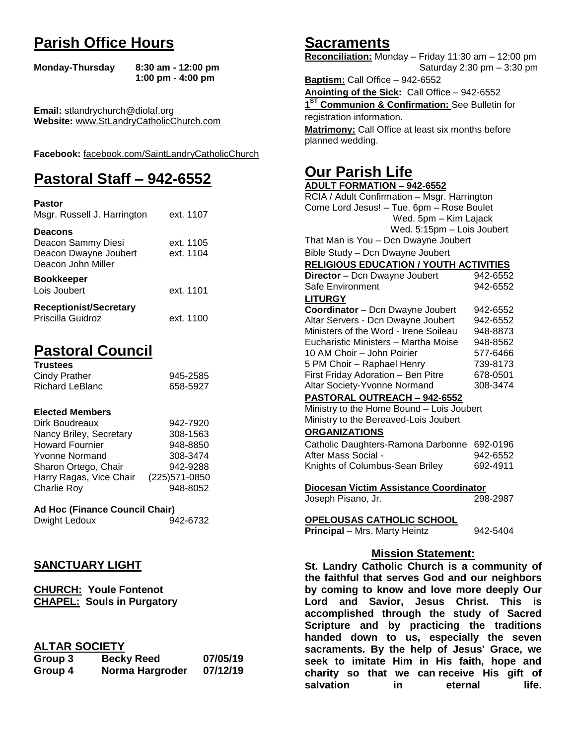## **Parish Office Hours**

```
Monday-Thursday 8:30 am - 12:00 pm
       1:00 pm - 4:00 pm
```
**Email:** stlandrychurch@diolaf.org **Website:** [www.StLandryCatholicChurch.com](http://www.stlandrycatholicchurch.com/)

**Facebook:** [facebook.com/SaintLandryCatholicChurch](http://facebook.com/SaintLandryCatholicChurch)

## **Pastoral Staff – 942-6552**

| <b>Pastor</b><br>Msgr. Russell J. Harrington                                        | ext. 1107              |
|-------------------------------------------------------------------------------------|------------------------|
| <b>Deacons</b><br>Deacon Sammy Diesi<br>Deacon Dwayne Joubert<br>Deacon John Miller | ext. 1105<br>ext. 1104 |
| <b>Bookkeeper</b><br>Lois Joubert                                                   | ext. 1101              |
| <b>Receptionist/Secretary</b><br>Priscilla Guidroz                                  | ext. 1100              |

## **Pastoral Council**

| <b>Trustees</b> |          |
|-----------------|----------|
| Cindy Prather   | 945-2585 |
| Richard LeBlanc | 658-5927 |

### **Elected Members**

| Dirk Boudreaux          | 942-7920       |
|-------------------------|----------------|
| Nancy Briley, Secretary | 308-1563       |
| <b>Howard Fournier</b>  | 948-8850       |
| <b>Yvonne Normand</b>   | 308-3474       |
| Sharon Ortego, Chair    | 942-9288       |
| Harry Ragas, Vice Chair | (225) 571-0850 |
| <b>Charlie Roy</b>      | 948-8052       |

## **Ad Hoc (Finance Council Chair)**

Dwight Ledoux 942-6732

## **SANCTUARY LIGHT**

**CHURCH: Youle Fontenot CHAPEL: Souls in Purgatory**

## **ALTAR SOCIETY**

| Group 3 | <b>Becky Reed</b> | 07/05/19 |
|---------|-------------------|----------|
| Group 4 | Norma Hargroder   | 07/12/19 |

## **Sacraments**

**Reconciliation:** Monday – Friday 11:30 am – 12:00 pm Saturday 2:30 pm – 3:30 pm

**Baptism:** Call Office – 942-6552 **Anointing of the Sick:** Call Office – 942-6552 **1 ST Communion & Confirmation:** See Bulletin for registration information. **Matrimony:** Call Office at least six months before planned wedding.

## **Our Parish Life**

| <b>ADULT FORMATION - 942-6552</b>                                         |          |  |
|---------------------------------------------------------------------------|----------|--|
| RCIA / Adult Confirmation - Msgr. Harrington                              |          |  |
| Come Lord Jesus! - Tue. 6pm - Rose Boulet                                 |          |  |
| Wed. 5pm - Kim Lajack                                                     |          |  |
| Wed. 5:15pm - Lois Joubert                                                |          |  |
| That Man is You - Dcn Dwayne Joubert                                      |          |  |
| Bible Study - Dcn Dwayne Joubert                                          |          |  |
| <b>RELIGIOUS EDUCATION / YOUTH ACTIVITIES</b>                             |          |  |
| Director - Dcn Dwayne Joubert                                             | 942-6552 |  |
| Safe Environment                                                          | 942-6552 |  |
| <b>LITURGY</b>                                                            |          |  |
| Coordinator - Dcn Dwayne Joubert                                          | 942-6552 |  |
| Altar Servers - Dcn Dwayne Joubert                                        | 942-6552 |  |
| Ministers of the Word - Irene Soileau                                     | 948-8873 |  |
| Eucharistic Ministers - Martha Moise                                      | 948-8562 |  |
| 10 AM Choir - John Poirier                                                | 577-6466 |  |
| 5 PM Choir - Raphael Henry                                                | 739-8173 |  |
| First Friday Adoration - Ben Pitre                                        | 678-0501 |  |
| Altar Society-Yvonne Normand                                              | 308-3474 |  |
| PASTORAL OUTREACH - 942-6552                                              |          |  |
| Ministry to the Home Bound - Lois Joubert                                 |          |  |
| Ministry to the Bereaved-Lois Joubert                                     |          |  |
| <b>ORGANIZATIONS</b>                                                      |          |  |
| Catholic Daughters-Ramona Darbonne                                        | 692-0196 |  |
| After Mass Social -                                                       | 942-6552 |  |
| Knights of Columbus-Sean Briley                                           | 692-4911 |  |
| Diocesan Victim Assistance Coordinator                                    |          |  |
| Joseph Pisano, Jr.                                                        | 298-2987 |  |
|                                                                           |          |  |
| <b>OPELOUSAS CATHOLIC SCHOOL</b>                                          |          |  |
| Principal - Mrs. Marty Heintz                                             | 942-5404 |  |
|                                                                           |          |  |
| <b>Mission Statement:</b><br>St. Landry Catholic Church is a community of |          |  |
|                                                                           |          |  |
| the faithful that serves God and our neighbors                            |          |  |
| by coming to know and love more deeply Our                                |          |  |
| Lord and Savior, Jesus Christ. This is                                    |          |  |
| accomplished through the study of Sacred                                  |          |  |
| Serinture and by practicing the traditions                                |          |  |

**accomplished through the study of Sacred Scripture and by practicing the traditions handed down to us, especially the seven sacraments. By the help of Jesus' Grace, we seek to imitate Him in His faith, hope and charity so that we can receive His gift of salvation in** eternal life.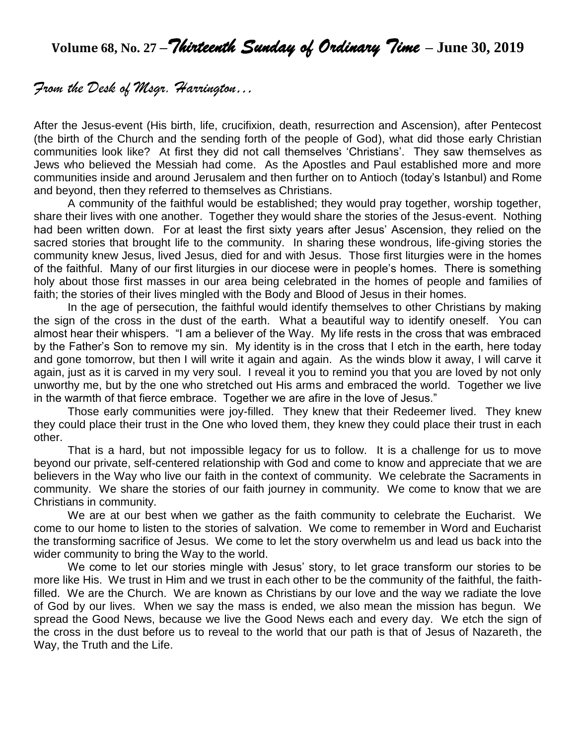**Volume 68, No. 27 –***Thirteenth Sunday of Ordinary Time* **– June 30, 2019**

## *From the Desk of Msgr. Harrington…*

After the Jesus-event (His birth, life, crucifixion, death, resurrection and Ascension), after Pentecost (the birth of the Church and the sending forth of the people of God), what did those early Christian communities look like? At first they did not call themselves 'Christians'. They saw themselves as Jews who believed the Messiah had come. As the Apostles and Paul established more and more communities inside and around Jerusalem and then further on to Antioch (today's Istanbul) and Rome and beyond, then they referred to themselves as Christians.

A community of the faithful would be established; they would pray together, worship together, share their lives with one another. Together they would share the stories of the Jesus-event. Nothing had been written down. For at least the first sixty years after Jesus' Ascension, they relied on the sacred stories that brought life to the community. In sharing these wondrous, life-giving stories the community knew Jesus, lived Jesus, died for and with Jesus. Those first liturgies were in the homes of the faithful. Many of our first liturgies in our diocese were in people's homes. There is something holy about those first masses in our area being celebrated in the homes of people and families of faith; the stories of their lives mingled with the Body and Blood of Jesus in their homes.

In the age of persecution, the faithful would identify themselves to other Christians by making the sign of the cross in the dust of the earth. What a beautiful way to identify oneself. You can almost hear their whispers. "I am a believer of the Way. My life rests in the cross that was embraced by the Father's Son to remove my sin. My identity is in the cross that I etch in the earth, here today and gone tomorrow, but then I will write it again and again. As the winds blow it away, I will carve it again, just as it is carved in my very soul. I reveal it you to remind you that you are loved by not only unworthy me, but by the one who stretched out His arms and embraced the world. Together we live in the warmth of that fierce embrace. Together we are afire in the love of Jesus."

Those early communities were joy-filled. They knew that their Redeemer lived. They knew they could place their trust in the One who loved them, they knew they could place their trust in each other.

That is a hard, but not impossible legacy for us to follow. It is a challenge for us to move beyond our private, self-centered relationship with God and come to know and appreciate that we are believers in the Way who live our faith in the context of community. We celebrate the Sacraments in community. We share the stories of our faith journey in community. We come to know that we are Christians in community.

We are at our best when we gather as the faith community to celebrate the Eucharist. We come to our home to listen to the stories of salvation. We come to remember in Word and Eucharist the transforming sacrifice of Jesus. We come to let the story overwhelm us and lead us back into the wider community to bring the Way to the world.

We come to let our stories mingle with Jesus' story, to let grace transform our stories to be more like His. We trust in Him and we trust in each other to be the community of the faithful, the faithfilled. We are the Church. We are known as Christians by our love and the way we radiate the love of God by our lives. When we say the mass is ended, we also mean the mission has begun. We spread the Good News, because we live the Good News each and every day. We etch the sign of the cross in the dust before us to reveal to the world that our path is that of Jesus of Nazareth, the Way, the Truth and the Life.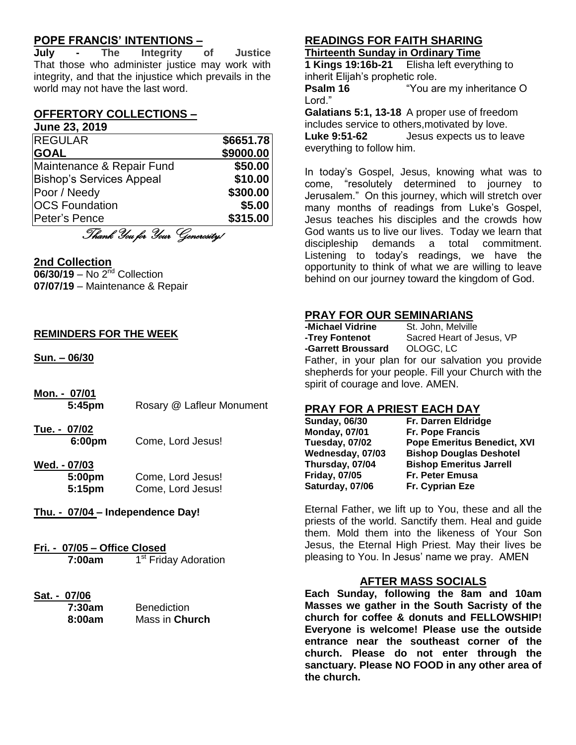## **POPE FRANCIS' INTENTIONS –**

**July - The Integrity of Justice** That those who administer justice may work with integrity, and that the injustice which prevails in the world may not have the last word.

## **OFFERTORY COLLECTIONS –**

#### **June 23, 2019**

| <b>REGULAR</b>                  | \$6651.78 |
|---------------------------------|-----------|
| <b>GOAL</b>                     | \$9000.00 |
| Maintenance & Repair Fund       | \$50.00   |
| <b>Bishop's Services Appeal</b> | \$10.00   |
| Poor / Needy                    | \$300.00  |
| <b>OCS Foundation</b>           | \$5.00    |
| Peter's Pence                   | \$315.00  |

Thank You for Your Generosity!

### **2nd Collection**

**06/30/19** – No 2<sup>nd</sup> Collection **07/07/19** – Maintenance & Repair

### **REMINDERS FOR THE WEEK**

**Sun. – 06/30**

- **Mon. - 07/01 5:45pm** Rosary @ Lafleur Monument
- **Tue. - 07/02 6:00pm** Come, Lord Jesus!

#### **Wed. - 07/03 5:00pm** Come, Lord Jesus! **5:15pm** Come, Lord Jesus!

- **Thu. - 07/04 – Independence Day!**
- **Fri. - 07/05 – Office Closed 7:00am** 1 1<sup>st</sup> Friday Adoration

# **Sat. - 07/06**

| 7:30am | <b>Benediction</b> |
|--------|--------------------|
| 8:00am | Mass in Church     |

## **READINGS FOR FAITH SHARING**

**Thirteenth Sunday in Ordinary Time**

**1 Kings 19:16b-21** Elisha left everything to inherit Elijah's prophetic role.

**Psalm 16** "You are my inheritance O Lord."

**Galatians 5:1, 13-18** A proper use of freedom includes service to others,motivated by love. **Luke 9:51-62** Jesus expects us to leave everything to follow him.

In today's Gospel, Jesus, knowing what was to come, "resolutely determined to journey to Jerusalem." On this journey, which will stretch over many months of readings from Luke's Gospel, Jesus teaches his disciples and the crowds how God wants us to live our lives. Today we learn that discipleship demands a total commitment. Listening to today's readings, we have the opportunity to think of what we are willing to leave behind on our journey toward the kingdom of God.

## **PRAY FOR OUR SEMINARIANS**

**-Michael Vidrine -Trey Fontenot** Sacred Heart of Jesus, VP **-Garrett Broussard** OLOGC, LC Father, in your plan for our salvation you provide shepherds for your people. Fill your Church with the spirit of courage and love. AMEN.

## **PRAY FOR A PRIEST EACH DAY**

| Fr. Darren Eldridge                |
|------------------------------------|
| Fr. Pope Francis                   |
| <b>Pope Emeritus Benedict, XVI</b> |
| <b>Bishop Douglas Deshotel</b>     |
| <b>Bishop Emeritus Jarrell</b>     |
| Fr. Peter Emusa                    |
| Fr. Cyprian Eze                    |
|                                    |

Eternal Father, we lift up to You, these and all the priests of the world. Sanctify them. Heal and guide them. Mold them into the likeness of Your Son Jesus, the Eternal High Priest. May their lives be pleasing to You. In Jesus' name we pray. AMEN

## **AFTER MASS SOCIALS**

**Each Sunday, following the 8am and 10am Masses we gather in the South Sacristy of the church for coffee & donuts and FELLOWSHIP! Everyone is welcome! Please use the outside entrance near the southeast corner of the church. Please do not enter through the sanctuary. Please NO FOOD in any other area of the church.**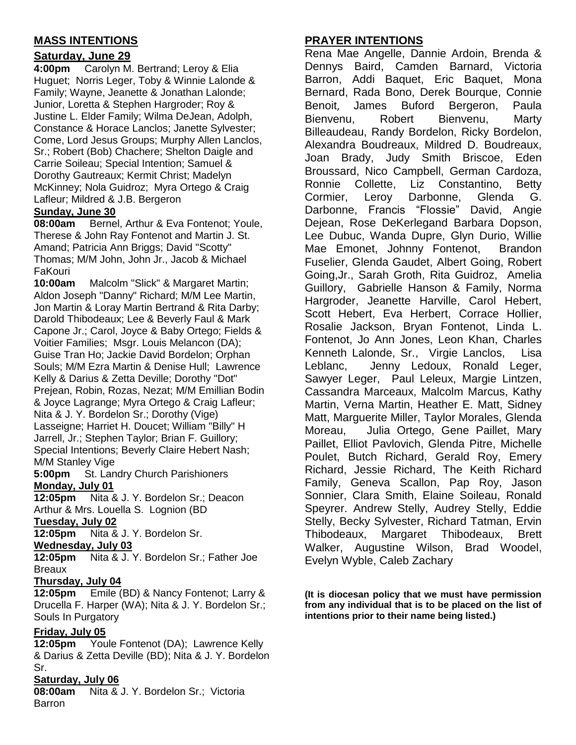## **MASS INTENTIONS**

## **Saturday, June 29**

**4:00pm** Carolyn M. Bertrand; Leroy & Elia Huguet; Norris Leger, Toby & Winnie Lalonde & Family; Wayne, Jeanette & Jonathan Lalonde; Junior, Loretta & Stephen Hargroder; Roy & Justine L. Elder Family; Wilma DeJean, Adolph, Constance & Horace Lanclos; Janette Sylvester; Come, Lord Jesus Groups; Murphy Allen Lanclos, Sr.; Robert (Bob) Chachere; Shelton Daigle and Carrie Soileau; Special Intention; Samuel & Dorothy Gautreaux; Kermit Christ; Madelyn McKinney; Nola Guidroz; Myra Ortego & Craig Lafleur; Mildred & J.B. Bergeron

## **Sunday, June 30**

**08:00am** Bernel, Arthur & Eva Fontenot; Youle, Therese & John Ray Fontenot and Martin J. St. Amand; Patricia Ann Briggs; David "Scotty" Thomas; M/M John, John Jr., Jacob & Michael FaKouri

**10:00am** Malcolm "Slick" & Margaret Martin; Aldon Joseph "Danny" Richard; M/M Lee Martin, Jon Martin & Loray Martin Bertrand & Rita Darby; Darold Thibodeaux; Lee & Beverly Faul & Mark Capone Jr.; Carol, Joyce & Baby Ortego; Fields & Voitier Families; Msgr. Louis Melancon (DA); Guise Tran Ho; Jackie David Bordelon; Orphan Souls; M/M Ezra Martin & Denise Hull; Lawrence Kelly & Darius & Zetta Deville; Dorothy "Dot" Prejean, Robin, Rozas, Nezat; M/M Emillian Bodin & Joyce Lagrange; Myra Ortego & Craig Lafleur; Nita & J. Y. Bordelon Sr.; Dorothy (Vige) Lasseigne; Harriet H. Doucet; William "Billy" H Jarrell, Jr.; Stephen Taylor; Brian F. Guillory; Special Intentions; Beverly Claire Hebert Nash; M/M Stanley Vige

**5:00pm** St. Landry Church Parishioners **Monday, July 01**

**12:05pm** Nita & J. Y. Bordelon Sr.; Deacon Arthur & Mrs. Louella S. Lognion (BD

**Tuesday, July 02**

**12:05pm** Nita & J. Y. Bordelon Sr.

**Wednesday, July 03**

**12:05pm** Nita & J. Y. Bordelon Sr.; Father Joe Breaux

### **Thursday, July 04**

**12:05pm** Emile (BD) & Nancy Fontenot; Larry & Drucella F. Harper (WA); Nita & J. Y. Bordelon Sr.; Souls In Purgatory

## **Friday, July 05**

**12:05pm** Youle Fontenot (DA); Lawrence Kelly & Darius & Zetta Deville (BD); Nita & J. Y. Bordelon Sr.

### **Saturday, July 06**

**08:00am** Nita & J. Y. Bordelon Sr.; Victoria **Barron** 

## **PRAYER INTENTIONS**

Rena Mae Angelle, Dannie Ardoin, Brenda & Dennys Baird, Camden Barnard, Victoria Barron, Addi Baquet, Eric Baquet, Mona Bernard, Rada Bono, Derek Bourque, Connie Benoit, James Buford Bergeron, Paula Bienvenu, Robert Bienvenu, Marty Billeaudeau, Randy Bordelon, Ricky Bordelon, Alexandra Boudreaux, Mildred D. Boudreaux, Joan Brady, Judy Smith Briscoe, Eden Broussard, Nico Campbell, German Cardoza, Ronnie Collette, Liz Constantino, Betty Cormier, Leroy Darbonne, Glenda G. Darbonne, Francis "Flossie" David, Angie Dejean, Rose DeKerlegand Barbara Dopson, Lee Dubuc, Wanda Dupre, Glyn Durio, Willie Mae Emonet, Johnny Fontenot, Brandon Fuselier, Glenda Gaudet, Albert Going, Robert Going,Jr., Sarah Groth, Rita Guidroz, Amelia Guillory, Gabrielle Hanson & Family, Norma Hargroder, Jeanette Harville, Carol Hebert, Scott Hebert, Eva Herbert, Corrace Hollier, Rosalie Jackson, Bryan Fontenot, Linda L. Fontenot, Jo Ann Jones, Leon Khan, Charles Kenneth Lalonde, Sr., Virgie Lanclos, Lisa Leblanc, Jenny Ledoux, Ronald Leger, Sawyer Leger, Paul Leleux, Margie Lintzen, Cassandra Marceaux, Malcolm Marcus, Kathy Martin, Verna Martin, Heather E. Matt, Sidney Matt, Marguerite Miller, Taylor Morales, Glenda Moreau, Julia Ortego, Gene Paillet, Mary Paillet, Elliot Pavlovich, Glenda Pitre, Michelle Poulet, Butch Richard, Gerald Roy, Emery Richard, Jessie Richard, The Keith Richard Family, Geneva Scallon, Pap Roy, Jason Sonnier, Clara Smith, Elaine Soileau, Ronald Speyrer. Andrew Stelly, Audrey Stelly, Eddie Stelly, Becky Sylvester, Richard Tatman, Ervin Thibodeaux, Margaret Thibodeaux, Brett Walker, Augustine Wilson, Brad Woodel, Evelyn Wyble, Caleb Zachary

**(It is diocesan policy that we must have permission from any individual that is to be placed on the list of intentions prior to their name being listed.)**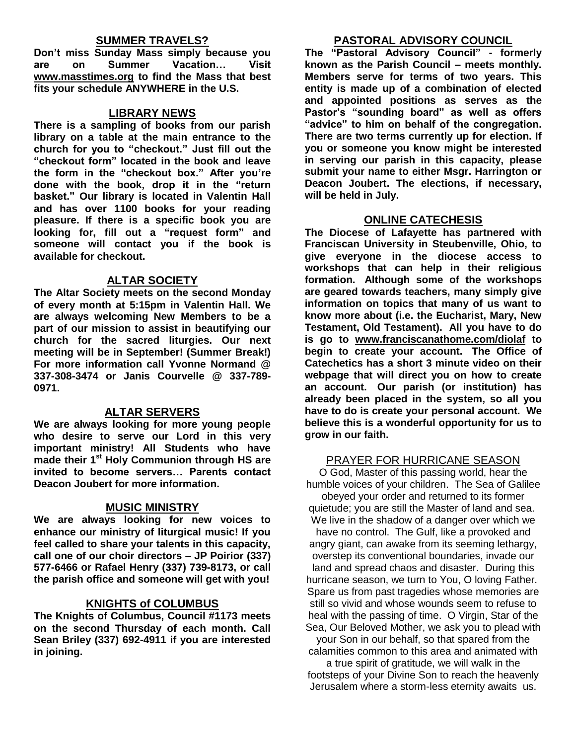### **SUMMER TRAVELS?**

**Don't miss Sunday Mass simply because you are on Summer Vacation… Visit [www.masstimes.org](http://www.masstimes.org/) to find the Mass that best fits your schedule ANYWHERE in the U.S.**

### **LIBRARY NEWS**

**There is a sampling of books from our parish library on a table at the main entrance to the church for you to "checkout." Just fill out the "checkout form" located in the book and leave the form in the "checkout box." After you're done with the book, drop it in the "return basket." Our library is located in Valentin Hall and has over 1100 books for your reading pleasure. If there is a specific book you are looking for, fill out a "request form" and someone will contact you if the book is available for checkout.**

### **ALTAR SOCIETY**

**The Altar Society meets on the second Monday of every month at 5:15pm in Valentin Hall. We are always welcoming New Members to be a part of our mission to assist in beautifying our church for the sacred liturgies. Our next meeting will be in September! (Summer Break!) For more information call Yvonne Normand @ 337-308-3474 or Janis Courvelle @ 337-789- 0971.** 

### **ALTAR SERVERS**

**We are always looking for more young people who desire to serve our Lord in this very important ministry! All Students who have made their 1st Holy Communion through HS are invited to become servers… Parents contact Deacon Joubert for more information.**

### **MUSIC MINISTRY**

**We are always looking for new voices to enhance our ministry of liturgical music! If you feel called to share your talents in this capacity, call one of our choir directors – JP Poirior (337) 577-6466 or Rafael Henry (337) 739-8173, or call the parish office and someone will get with you!**

### **KNIGHTS of COLUMBUS**

**The Knights of Columbus, Council #1173 meets on the second Thursday of each month. Call Sean Briley (337) 692-4911 if you are interested in joining.** 

### **PASTORAL ADVISORY COUNCIL**

**The "Pastoral Advisory Council" - formerly known as the Parish Council – meets monthly. Members serve for terms of two years. This entity is made up of a combination of elected and appointed positions as serves as the Pastor's "sounding board" as well as offers "advice" to him on behalf of the congregation. There are two terms currently up for election. If you or someone you know might be interested in serving our parish in this capacity, please submit your name to either Msgr. Harrington or Deacon Joubert. The elections, if necessary, will be held in July.**

### **ONLINE CATECHESIS**

**The Diocese of Lafayette has partnered with Franciscan University in Steubenville, Ohio, to give everyone in the diocese access to workshops that can help in their religious formation. Although some of the workshops are geared towards teachers, many simply give information on topics that many of us want to know more about (i.e. the Eucharist, Mary, New Testament, Old Testament). All you have to do is go to [www.franciscanathome.com/diolaf](http://www.franciscanathome.com/diolaf) to begin to create your account. The Office of Catechetics has a short 3 minute video on their webpage that will direct you on how to create an account. Our parish (or institution) has already been placed in the system, so all you have to do is create your personal account. We believe this is a wonderful opportunity for us to grow in our faith.**

### PRAYER FOR HURRICANE SEASON

O God, Master of this passing world, hear the humble voices of your children. The Sea of Galilee obeyed your order and returned to its former quietude; you are still the Master of land and sea. We live in the shadow of a danger over which we have no control. The Gulf, like a provoked and angry giant, can awake from its seeming lethargy, overstep its conventional boundaries, invade our land and spread chaos and disaster. During this hurricane season, we turn to You, O loving Father. Spare us from past tragedies whose memories are still so vivid and whose wounds seem to refuse to heal with the passing of time. O Virgin, Star of the Sea, Our Beloved Mother, we ask you to plead with

your Son in our behalf, so that spared from the calamities common to this area and animated with

a true spirit of gratitude, we will walk in the footsteps of your Divine Son to reach the heavenly Jerusalem where a storm-less eternity awaits us.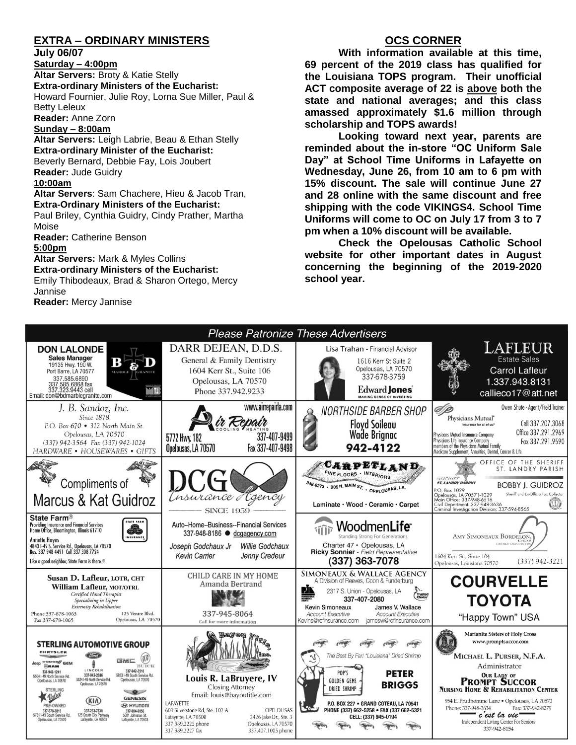## **EXTRA – ORDINARY MINISTERS**

**July 06/07**

**Saturday – 4:00pm Altar Servers:** Broty & Katie Stelly **Extra-ordinary Ministers of the Eucharist:**  Howard Fournier, Julie Roy, Lorna Sue Miller, Paul & Betty Leleux **Reader:** Anne Zorn **Sunday – 8:00am**

**Altar Servers:** Leigh Labrie, Beau & Ethan Stelly **Extra-ordinary Minister of the Eucharist:** Beverly Bernard, Debbie Fay, Lois Joubert **Reader:** Jude Guidry **10:00am**

**Altar Servers**: Sam Chachere, Hieu & Jacob Tran, **Extra-Ordinary Ministers of the Eucharist:**

Paul Briley, Cynthia Guidry, Cindy Prather, Martha Moise

**Reader:** Catherine Benson

**5:00pm** 

**Altar Servers:** Mark & Myles Collins **Extra-ordinary Ministers of the Eucharist:** Emily Thibodeaux, Brad & Sharon Ortego, Mercy

Jannise

**Reader:** Mercy Jannise

## **OCS CORNER**

**With information available at this time, 69 percent of the 2019 class has qualified for the Louisiana TOPS program. Their unofficial ACT composite average of 22 is above both the state and national averages; and this class amassed approximately \$1.6 million through scholarship and TOPS awards!**

**Looking toward next year, parents are reminded about the in-store "OC Uniform Sale Day" at School Time Uniforms in Lafayette on Wednesday, June 26, from 10 am to 6 pm with 15% discount. The sale will continue June 27 and 28 online with the same discount and free shipping with the code VIKINGS4. School Time Uniforms will come to OC on July 17 from 3 to 7 pm when a 10% discount will be available.**

**Check the Opelousas Catholic School website for other important dates in August concerning the beginning of the 2019-2020 school year.**